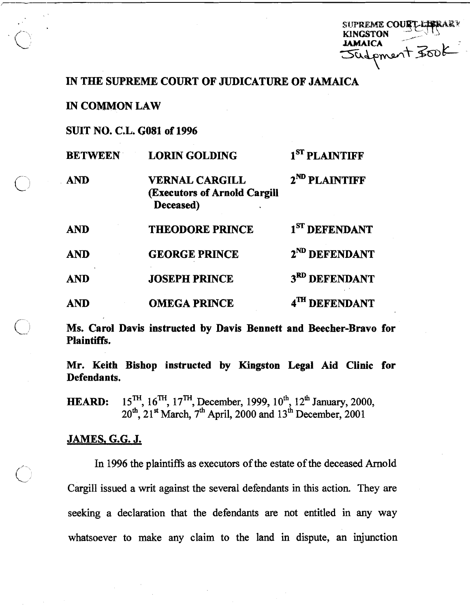suprem**e cour** SUPREME COURT-LAPRARY<br>KINGSTON<br>JOULPMENT FOUL KINGSTON **JAMAICA** 

## **IN** THE SUPREME COURT OF JUDICATURE OF JAMAICA

IN COMMON LAW

SUIT NO. C.L. **GO81** of **1996** 

| <b>BETWEEN</b> | <b>LORIN GOLDING</b>                                               | 1 <sup>ST</sup> PLAINTIFF |
|----------------|--------------------------------------------------------------------|---------------------------|
| <b>AND</b>     | <b>VERNAL CARGILL</b><br>(Executors of Arnold Cargill<br>Deceased) | 2 <sup>ND</sup> PLAINTIFF |
| <b>AND</b>     | <b>THEODORE PRINCE</b>                                             | 1 <sup>ST</sup> DEFENDANT |
| <b>AND</b>     | <b>GEORGE PRINCE</b>                                               | 2 <sup>ND</sup> DEFENDANT |
| <b>AND</b>     | <b>JOSEPH PRINCE</b>                                               | 3 <sup>RD</sup> DEFENDANT |
| AND            | <b>OMEGA PRINCE</b>                                                | <b>DEFENDANT</b>          |

Ms. Carol Davis instructed **by** Davis Bennett and Beecher-Bravo for Plaintiffs.

Mr. Keith Bishop instructed **by** Kingston Legal Aid Clinic for Defendants,

**HEARD:** 15<sup>TH</sup>, 16<sup>TH</sup>, 17<sup>TH</sup>, December, 1999, 10<sup>th</sup>, 12<sup>th</sup> January, 2000, 20<sup>th</sup>, 21<sup>st</sup> March, 7<sup>th</sup> April, 2000 and 13<sup>th</sup> December, 2001

## JAMES, G.G. J.

In 1996 the plaintiffs as executors of the estate of the deceased Arnold Cargill issued a writ against the several defendants in this action. They are seeking a declaration that the defendants are not entitled in any way whatsoever to make any claim to the land in dispute, an injunction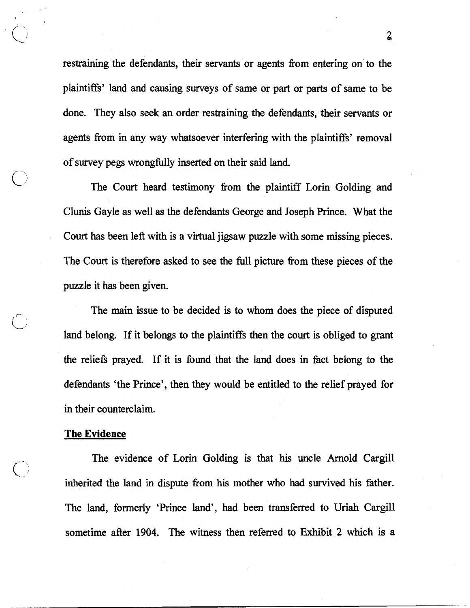restraining the defendants, their servants or agents from entering on to the plaintiffs' land and causing surveys of same or part or parts of same to be done. They also seek an order restraining the defendants, their servants or agents fiom in any way whatsoever interfering with the plaintiffs' removal of survey pegs wrongfully inserted on their said land.

The Court heard testimony fiom the plaintiff Lorin Golding and Clunis Gayle as well as the defendants George and Joseph Prince. What the Court has been left with is a virtual jigsaw puzzle with some missing pieces. The Court is therefore asked to see the full picture fiom these pieces of the puzzle it has been given.

The main issue to be decided is to whom does the piece of disputed land belong. If it belongs to the plaintiffs then the court is obliged to grant the reliefs prayed. If it is found that the land does in fact belong to the defendants 'the Prince', then they would be entitled to the relief prayed for in their counterclaim.

## The Evidence

The evidence of Lorin Golding is that his uncle Arnold Cargill inherited the land in dispute from his mother who had survived his father. The land, formerly 'Prince land', had been transferred to Uriah Cargill sometime afier **1904.** The witness then referred to Exhibit 2 which is a

 $\overline{2}$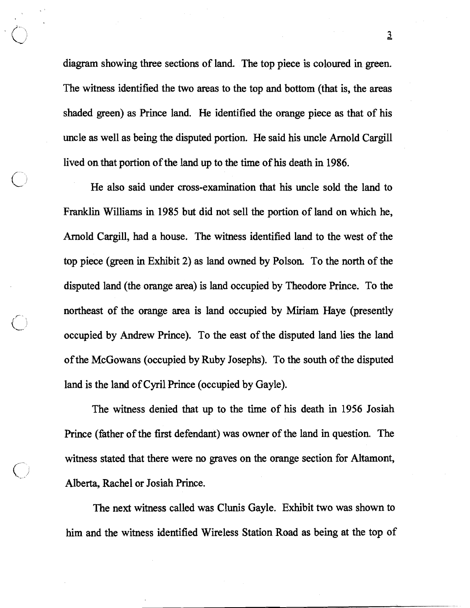diagram showing three sections of land. The top piece is coloured in green. The witness identified the two areas to the top and bottom (that is, the areas shaded green) as Prince land. He identified the orange piece as that of his uncle as well as being the disputed portion. He said his uncle Arnold Cargill lived on that portion of the land up to the time of his death in 1986.

He also said under cross-examination that his uncle sold the land to Franklin Williams in 1985 but did not sell the portion of land on which he, Arnold Cargill, had a house. The witness identified land to the west of the top piece (green in Exhibit 2) as land owned by Polson. To the north of the disputed land (the orange area) is land occupied by Theodore Prince. To the northeast of the orange area is land occupied by Miriam Haye (presently occupied by Andrew Prince). To the east of the disputed land lies the land of the McGowans (occupied by Ruby Joseph). To the south of the disputed land is the land of Cyril Prince (occupied by Gayle).

The witness denied that up to the time of his death in 1956 Josiah Prince (father of the first defendant) was owner of the land in question. The witness stated that there were no graves on the orange section for Altamont, Alberta, Rachel or Josiah Prince.

The next witness called was Clunis Gayle. Exhibit two was shown to him and the witness identified Wireless Station Road as being at the top of

 $\overline{2}$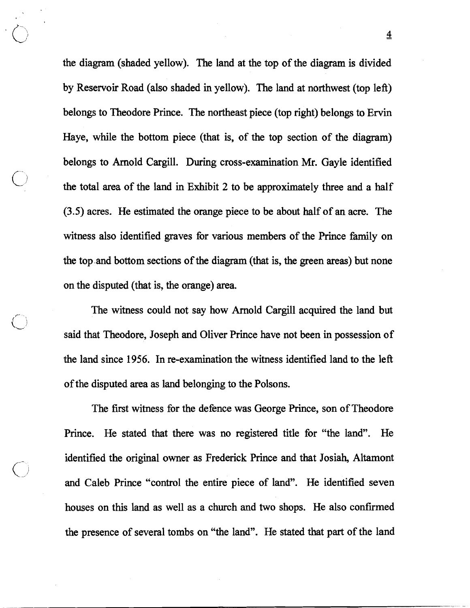the diagram (shaded yellow). The land at the top of the diagram is divided by Reservoir Road (also shaded in yellow). The land at northwest (top left) belongs to Theodore Prince. The northeast piece (top right) belongs to Ervin Haye, while the bottom piece (that is, of the top section of the diagram) belongs to Arnold Cargill. During cross-examination Mr. Gayle identified the total area of the land in Exhibit 2 to be approximately three and a half (3.5) acres. He estimated the orange piece to be about half of an acre. The witness also identified graves for various members of the Prince family on the top.and bottom sections of the diagram (that is, the green areas) but none on the disputed (that is, the orange) area.

The witness could not say how Arnold Cargill acquired the land but said that Theodore, Joseph and Oliver Prince have not been in possession of the land since 1956. In re-examination the witness identified land to the left of the disputed area as land belonging to the Polsons.

The first witness for the defence was George Prince, son of Theodore Prince. He stated that there was no registered title for "the land". He identified the original owner as Frederick Prince and that Josiah, Altamont and Caleb Prince "control the entire piece of land". He identified seven houses on this land as well as a church and two shops. He also confirmed the presence of several tombs on "the land". He stated that part of the land

= **4**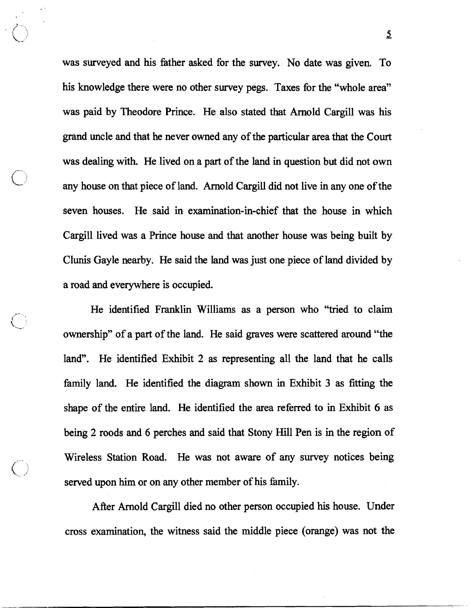was surveyed and his fither asked for the survey. No date was given. To his knowledge there were no other survey pegs. Taxes for the "whole area" was paid by Theodore Prince. He also stated that Arnold Cargill was his grand uncle and that he never owned any of the particular area that the Court was dealing with. He lived on a part of the land in question but did not own any house on that piece of land. Arnold Cargill did not live in any one of the seven houses. He said in examination-in-chief that the house in which Cargill lived was a Prince house and that another house was being built by Clunis Gayle nearby. He said the land was just one piece of land divided by a road and everywhere is occupied.

He identified Franklin Williams **as** a person who "tried to claim ownership" of a part of the land. He said graves were scattered around "the land". He identified Exhibit 2 as representing all the land that he calls family land. He identified the diagram shown in Exhibit 3 as fitting the shape of the entire land. He identified the area referred to in Exhibit 6 as being 2 roods and 6 perches and said that Stony Hill Pen is in the region of Wireless Station Road. He was not aware of any survey notices being served upon him or on any other member of his family.

After Arnold Cargill died no other person occupied his house. Under cross examination, the witness said the middle piece (orange) was not the

**5.**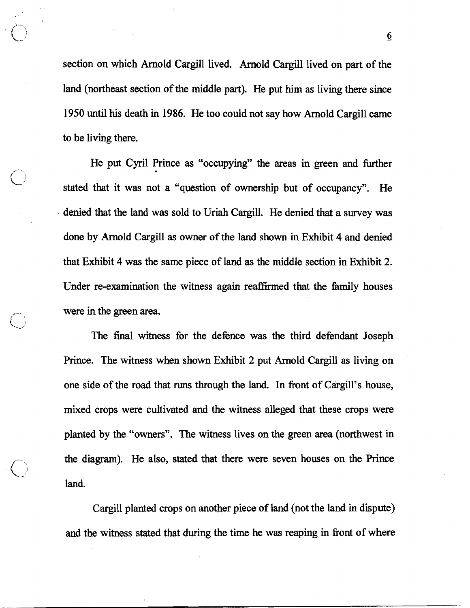section on which Arnold Cargill lived. Arnold Cargill lived on part of the land (northeast section of the middle part). He put him **as** living there since 1950 until his death in 1986. He too could not say how Arnold Cargill came to be living there.

He put Cyril Prince as "occupying" the areas in green and further stated that it was not a "question of ownership but of occupancy". He denied that the land was sold to Uriah Cargill. He denied that a survey was done by Arnold Cargill **as** owner of the land shown in Exhibit 4 and denied that Exhibit 4 was the same piece of land as the middle section in Exhibit 2. Under re-examination the witness again reaffirmed that the family houses were in the green area.

The final witness for the defence was the third defendant Joseph Prince. The witness when shown Exhibit 2 put Arnold Cargill as living on one side of the road that runs through the land. In front of Cargill's house, mixed crops were cultivated and the witness alleged that these crops were planted by the "owners". The witness lives on the green area (northwest in the diagram). He also, stated that there were seven houses on the Prince land.

Cargill planted crops on another piece of land (not the land in dispute) and the witness stated that during the time he was reaping in front of where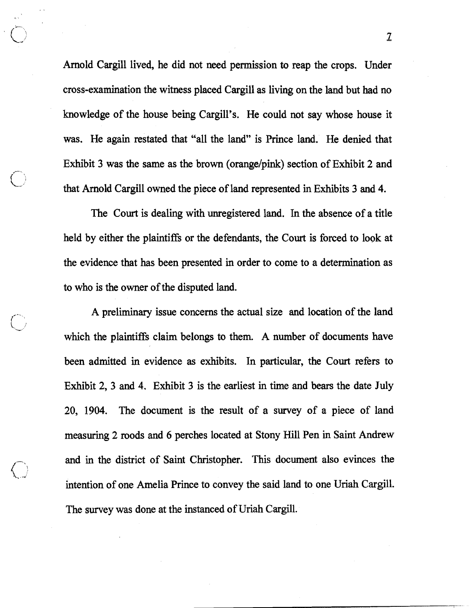Arnold Cargill lived, he did not need permission to reap the crops. Under cross-examination the witness placed Cargill as living on the land but had no knowledge of the house being Cargill's. He could not say whose house it was. He again restated that "all the land" is Prince land. He denied that Exhibit 3 was the same as the brown (orange/pink) section of Exhibit 2 and that Arnold Cargill owned the piece of land represented in Exhibits 3 and 4.

The Court is dealing with unregistered land. In the absence of a title held by either the plaintiffs or the defendants, the Court is forced to look at the evidence that has been presented in order to come to a determination as to who is the owner of the disputed land.

A preliminary issue concerns the actual size and location of the land which the plaintiffs claim belongs to them. A number of documents have been admitted in evidence as exhibits. In particular, the Court refers to Exhibit 2, 3 and 4. Exhibit 3 is the earliest in time and bears the date July 20, 1904. The document is the result of a survey of a piece of land measuring 2 roods and 6 perches located at Stony Hill Pen in Saint Andrew and in the district of Saint Christopher. This document also evinces the intention of one Amelia Prince to convey the said land to one Uriah Cargill. The survey was done at the instanced of Uriah Cargill.

 $\mathbf{Z}$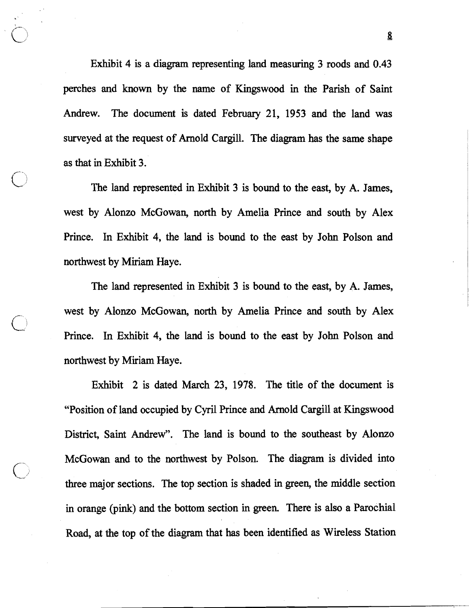Exhibit 4 is a diagram representing land measuring 3 roods and 0.43 perches and **known** by the name of Kingswood in the Parish of Saint Andrew. The document is dated February 21, **1953** and the land was surveyed at the request of Arnold Cargill. The diagram has the same shape as that in Exhibit **3.** 

The land represented in Exhibit **3** is bound to the east, by A. James, west by Alonzo McGowan, north by Amelia Prince and south by Alex Prince. In Exhibit 4, the land is bound to the east by John Polson and northwest by Miriam Haye.

The land represented in Exhibit **3** is bound to the east, by A. James, west by Alonzo McGowan, north by Amelia Prince and south by Alex Prince. In Exhibit 4, the land is bound to the east by John Polson and northwest by Miriam Haye.

Exhibit 2 is dated March 23, **1978.** The title of the document is "Position of land occupied by Cyril Prince and Arnold Cargill at Kingswood District, Saint Andrew". The land is bound to the southeast by Alonzo McGowan and to the northwest by Polson. The diagram is divided into three major sections. The top section is shaded in green, the middle section in orange (pink) and the bottom section in green. There is also a Parochial Road, at the top of the diagram that **has** been identified as Wireless Station

**S**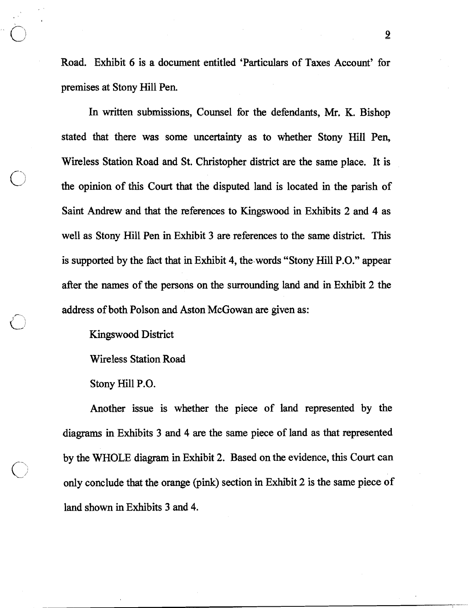Road. Exhibit 6 is a document entitled 'Particulars of Taxes Account' for premises at Stony Hill Pen.

In written submissions, Counsel for the defendants, Mr, K. Bishop stated that there was some uncertainty as to whether Stony Hill Pen, Wireless Station Road and St. Christopher district are the same place. It is the opinion of this Court that the disputed land is located in the parish of Saint Andrew and that the references to Kingswood in Exhibits 2 and 4 as well as Stony Hill Pen in Exhibit 3 are references to the same district. This is supported by the fact that in Exhibit 4, the.words "Stony Hill P.O." appear after the names of the persons on the surrounding land and in Exhibit 2 the address of both Polson and Aston McGowan are given as:

Kingswood District

Wireless Station Road

Stony Hill P.O.

Another issue is whether the piece of land represented by the diagrams in Exhibits 3 and 4 **are** the same piece of land as that represented by the WHOLE diagram in Exhibit 2. Based on the evidence, this Court can only conclude that the orange (pink) section in Exhibit 2 is the same piece of land shown in Exhibits 3 and 4.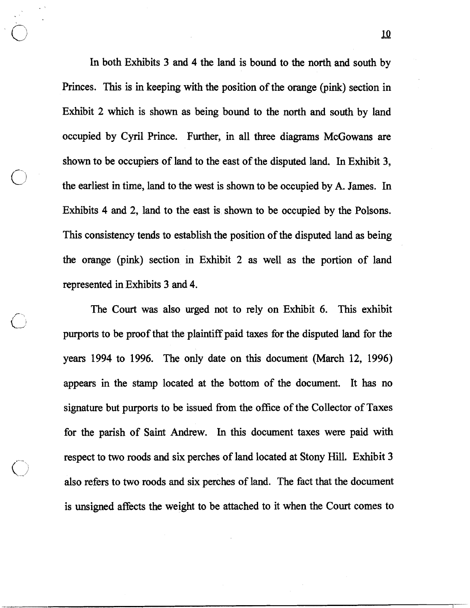In both Exhibits **3** and 4 the land is bound to the north and south by Princes. This is in keeping with the position of the orange (pink) section in Exhibit **2** which is shown as being bound to the north and south by land occupied by Cyril Prince. Further, in all three diagrams McGowans are shown to be occupiers of land to the east of the disputed land. In Exhibit **3,**  the earliest **in** time, land to the west is shown to be occupied by A. James. In Exhibits 4 and 2, land to the east is shown to be occupied by the Polsons. This consistency tends to establish the position of the disputed land as being the orange (pink) section in Exhibit 2 as well as the portion of land represented in Exhibits **3** and 4.

The Court was also urged not to rely on Exhibit **6.** This exhibit purports to be proof that the plaintiff paid taxes for the disputed land for the years **1994** to **1996.** The only date on this document (March **12, 1996)**  appears in the stamp located at the bottom of the document. It has no signature but purports to be issued from the office of the Collector of Taxes for the parish of Saint Andrew. In this document taxes were paid with respect to two roods and six perches of land located at Stony Hill. Exhibit **3**  also refers to two roods and six perches of land. The fact that the document is unsigned affects the weight to be attached to it when the Court comes to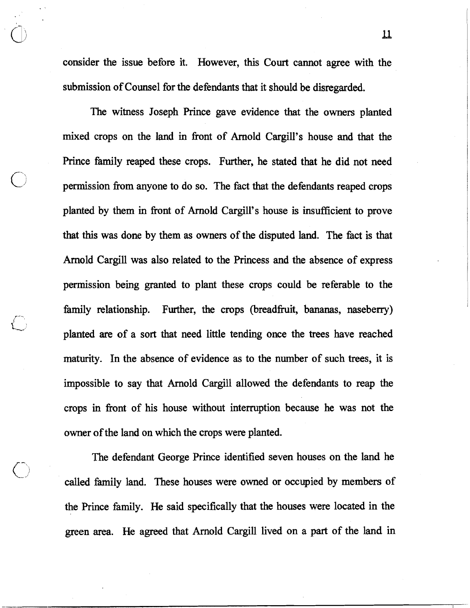consider the issue before it. However, this Court cannot agree with the submission of Counsel for the defendants that it should be disregarded.

The witness Joseph Prince gave evidence that the owners planted mixed crops on the land in fiont of Arnold Cargill's house and that the Prince family reaped these crops. Further, he stated that he did not need permission fiom anyone to do so. The fact that the defendants reaped crops planted by them in front of Arnold Cargill's house is insufficient to prove that this was done by them as owners of the disputed land. The fact is that Arnold Cargill was also related to the Princess and the absence of express permission being granted to plant these crops could be referable to the family relationship. Further, the crops (breadfruit, bananas, naseberry) planted are of a sort that need little tending once the trees have reached **maturity.** In the absence of evidence **as** to the number of such trees, it is impossible to say that Arnold Cargill allowed the defendants to reap the crops in front of his house without interruption because he was not the owner of the land on which the crops were planted.

The defendant George Prince identified seven houses on the land he called family land. These houses were owned or occupied by members of the Prince family. He said specifically that the houses were located in the green **area.** He agreed that Arnold Cargill lived on a part of the land in

 $\overline{\mathfrak{u}}$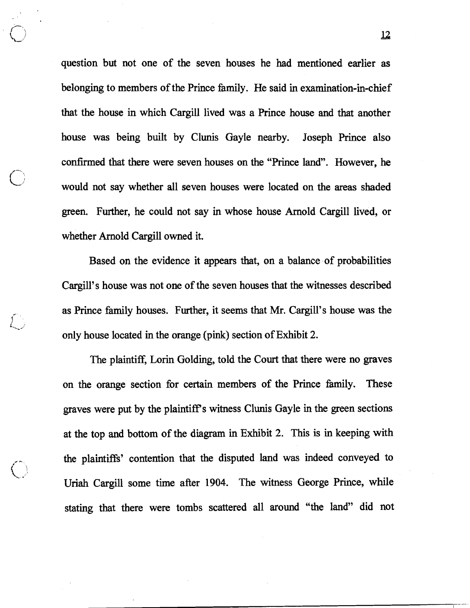question but not one of the seven houses he had mentioned earlier as belonging to members of the Prince family. He said in examination-in-chief that the house in which Cargill lived was a Prince house and that another house was being built by Clunis Gayle nearby. Joseph Prince also confirmed that there were seven houses on the "Prince land". However, he would not say whether all seven houses were located on the areas shaded green. Further, he could not say in whose house Arnold Cargill lived, or whether Arnold Cargill owned it.

**I'C** -" '

f' **i.\** J

Based on the evidence it appears that, on a balance of probabilities Cargill's house was not one of the seven houses that the witnesses described as Prince family houses. Further, it seems that Mr. Cargill's house was the only house located in the orange (pink) section of Exhibit 2.

The plaintiff, Lorin Golding, told the Court that there were no graves on the orange section for certain members of the Prince family. These graves were put by the plaintiffs witness Clunis Gayle in the green sections at the top and bottom of the diagram in Exhibit 2. This is in keeping with the plaintiffs' contention that the disputed land was indeed conveyed to Uriah Cargill some time after 1904. The witness George Prince, while stating that there were tombs scattered all around "the land" did not

 $\frac{12}{2}$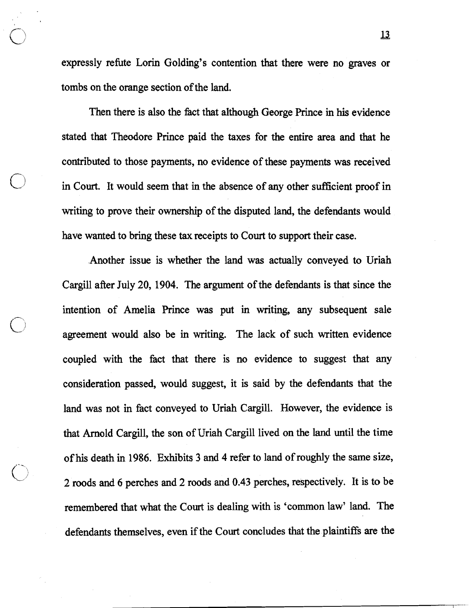expressly refute Lorin Golding's contention that there were no graves or tombs on the orange section of the land.

Then there is also the fact that although George Prince in his evidence stated that Theodore Prince paid the taxes for the entire area and that he contributed to those payments, no evidence of these payments was received in Court. It would seem that in the absence of any other sufficient proof in writing to prove their ownership of the disputed land, the defendants would have wanted to bring these tax receipts to Court to support their case.

Another issue is whether the land was actually conveyed to Uriah Cargill after July 20, 1904. The argument of the defendants is that since the intention of Amelia Prince was put in writing, any subsequent sale agreement would also be in writing. The lack of such written evidence coupled with the fact that there is no evidence to suggest that **any**  consideration passed, would suggest, it is said by the defendants that the land was not in fact conveyed to Uriah Cargill. However, the evidence is that Arnold Cargill, the son of Uriah Cargill lived on the land until the time of his death in 1986. Exhibits 3 and 4 refer to land of roughly the same size, 2 roods and 6 perches and 2 roods and 0.43 perches, respectively. It is to be remembered that what the Court is dealing with is 'common law' land. The defendants themselves, even if the Court concludes that the plaintiffs are the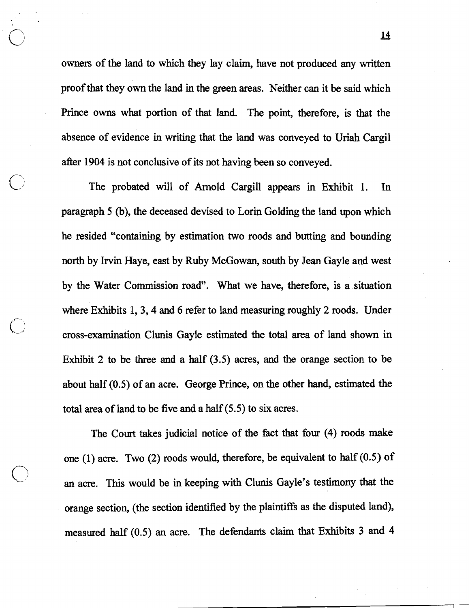owners of the land to which they lay claim, have not produced any written proof that they own the land in the green areas. Neither can it be said which Prince owns what portion of that land. The point, therefore, is that the absence of evidence in writing that the land was conveyed to Uriah Cargil after 1904 is not conclusive of its not having been so conveyed.

The probated will of Arnold Cargill appears in Exhibit 1. In paragraph 5 (b), the deceased devised to Lorin Golding the land upon which he resided "containing by estimation two roods and butting and bounding north by Irvin Haye, east by Ruby McGowan, south by Jean Gayle and west by the Water Commission road". What we have, therefore, is a situation where Exhibits 1, 3, 4 and 6 refer to land measuring roughly 2 roods. Under cross-examination Clunis Gayle estimated the total area of land shown in Exhibit 2 to be three and a half (3.5) acres, and the orange section to be about half (0.5) of an acre. George Prince, on the other hand, estimated the total area of land to be five and a half (5.5) to six acres.

The Court takes judicial notice of the fact that four (4) roods make one (1) acre. Two (2) roods would, therefore, be equivalent to half (0.5) of an acre. This would be in keeping with Clunis Gayle's testimony that the orange section, (the section identified by the plaintiffs as the disputed land), measured half (0.5) an acre. The defendants claim that Exhibits 3 and 4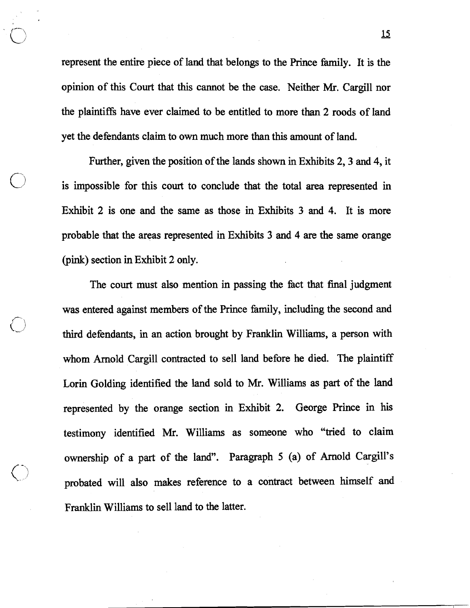represent the entire piece of land that belongs to the Prince family. It is the opinion of this Court that this cannot be the case. Neither Mr. Cargill nor the plaintiffs have ever claimed to be entitled to more than 2 roods of land yet the defendants claim to own much more than this amount of land.

Further, given the position of the lands shown in Exhibits 2, 3 and 4, it is impossible for this court to conclude that the total area represented in Exhibit 2 is one and the same as those in Exhibits 3 and 4. It is more probable that the areas represented in Exhibits 3 and 4 are the same orange (pink) section in Exhibit 2 only.

The court must also mention in passing the fact that final judgment was entered against members of the Prince family, including the second and third defendants, in an action brought by Franklin Williams, a person with whom Amold Cargill contracted to sell land before he died. The plaintiff Lorin Golding identified the land sold to Mr. Williams as part of the land represented by the orange section in Exhibit 2. George Prince in his testimony identified Mr. Williams as someone who "tried to claim ownership of a part of the land". Paragraph 5 (a) of Amold Cargill's probated will also makes reference to a contract between himself and Franklin Williams to sell land to the latter.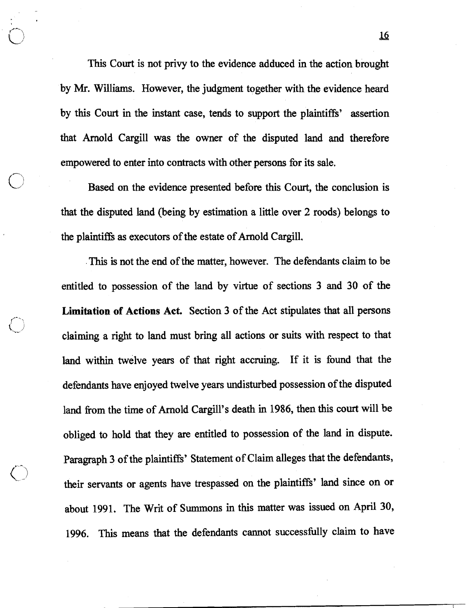This Court is not privy to the evidence adduced in the action brought by Mr. Williams. However, the judgment together with the evidence heard by this Court in the instant case, tends to support the plaintiffs' assertion that Arnold Cargill was the owner of the disputed land and therefore empowered to enter into contracts with other persons for its sale.

Based on the evidence presented before this Court, the conclusion is that the disputed land (being by estimation a little over 2 roods) belongs to the plaintiffs **as** executors of the estate of Arnold Cargill.

. This is not the end of the matter, however. The defendants claim to be entitled to possession of the land by virtue of sections 3 and 30 **of** the **Limitation of Actions Act.** Section 3 of the Act stipulates that all persons claiming a right to land must bring all actions or suits with respect to that land within twelve years of that right accruing. If it is found that the defendants have enjoyed twelve years undisturbed possession of the disputed land fiom the time of Arnold Cargill's death in 1986, then this court will be obliged to hold that they are entitled to possession of the land in dispute. Paragraph 3 of the plaintiffs' Statement of Claim alleges that the defendants, their servants or agents have trespassed on the plaintiffs' land since on or about 1991. The Writ of Summons in this matter was issued on April 30, 1996. This means that the defendants cannot successfully claim to have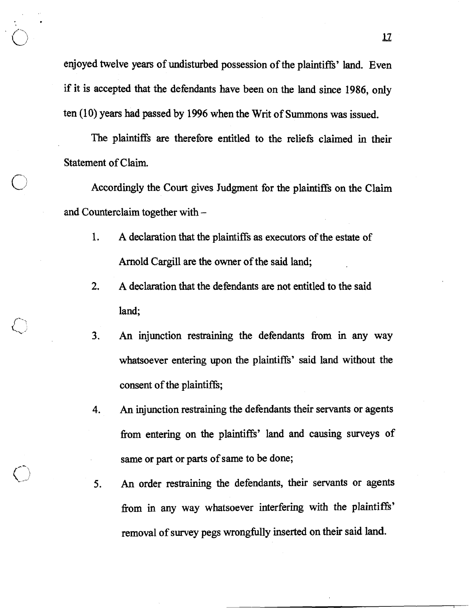enjoyed twelve years of undisturbed possession of the plaintiffs' land. Even if it is accepted that the defendants have been on the land since 1986, only ten  $(10)$  years had passed by 1996 when the Writ of Summons was issued.

The plaintiffs are therefore entitled to the reliefs claimed in their Statement of Claim.

Accordingly the Court gives Judgment for the plaintiffs on the Claim and Counterclaim together with -

- 1. A declaration that the plaintiffs as executors of the estate of Arnold Cargill are the owner of the said land;
- 2. A declaration that the defendants are not entitled to the said land;
- **3. An** injunction restraining the defendants from in any way whatsoever entering upon the plaintiffs' said land without the consent of the plaintiffs;
- **4. An** injunction restraining the defendants their servants or agents from entering on the plaintiffs' land and causing surveys of same or part or parts of same to be done;
- **5.** An order restraining the defendants, their servants or agents from in any way whatsoever interfering with the plaintiffs' removal of survey pegs wrongfully inserted on their said land.

**l2**